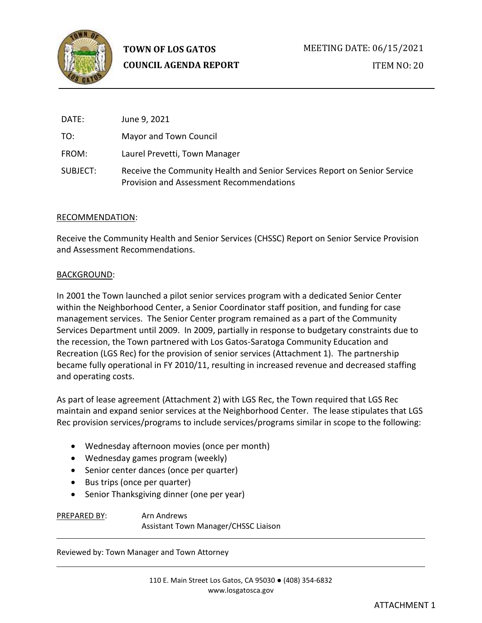

| DATE:    | June 9, 2021                                                                                                          |
|----------|-----------------------------------------------------------------------------------------------------------------------|
| TO:      | Mayor and Town Council                                                                                                |
| FROM:    | Laurel Prevetti, Town Manager                                                                                         |
| SUBJECT: | Receive the Community Health and Senior Services Report on Senior Service<br>Provision and Assessment Recommendations |

### RECOMMENDATION:

Receive the Community Health and Senior Services (CHSSC) Report on Senior Service Provision and Assessment Recommendations.

### BACKGROUND:

In 2001 the Town launched a pilot senior services program with a dedicated Senior Center within the Neighborhood Center, a Senior Coordinator staff position, and funding for case management services. The Senior Center program remained as a part of the Community Services Department until 2009. In 2009, partially in response to budgetary constraints due to the recession, the Town partnered with Los Gatos-Saratoga Community Education and Recreation (LGS Rec) for the provision of senior services (Attachment 1). The partnership became fully operational in FY 2010/11, resulting in increased revenue and decreased staffing and operating costs.

As part of lease agreement (Attachment 2) with LGS Rec, the Town required that LGS Rec maintain and expand senior services at the Neighborhood Center. The lease stipulates that LGS Rec provision services/programs to include services/programs similar in scope to the following:

- Wednesday afternoon movies (once per month)
- Wednesday games program (weekly)
- Senior center dances (once per quarter)
- Bus trips (once per quarter)
- Senior Thanksgiving dinner (one per year)

PREPARED BY: Arn Andrews Assistant Town Manager/CHSSC Liaison

Reviewed by: Town Manager and Town Attorney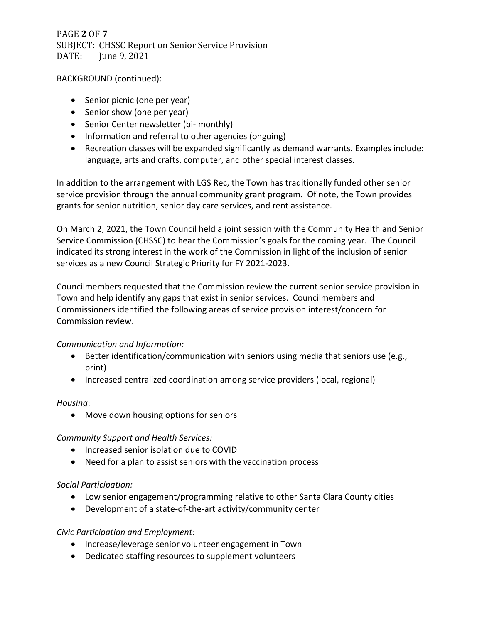# PAGE **2** OF **7** SUBJECT: CHSSC Report on Senior Service Provision DATE: June 9, 2021

# BACKGROUND (continued):

- Senior picnic (one per year)
- Senior show (one per year)
- Senior Center newsletter (bi- monthly)
- Information and referral to other agencies (ongoing)
- Recreation classes will be expanded significantly as demand warrants. Examples include: language, arts and crafts, computer, and other special interest classes.

In addition to the arrangement with LGS Rec, the Town has traditionally funded other senior service provision through the annual community grant program. Of note, the Town provides grants for senior nutrition, senior day care services, and rent assistance.

On March 2, 2021, the Town Council held a joint session with the Community Health and Senior Service Commission (CHSSC) to hear the Commission's goals for the coming year. The Council indicated its strong interest in the work of the Commission in light of the inclusion of senior services as a new Council Strategic Priority for FY 2021-2023.

Councilmembers requested that the Commission review the current senior service provision in Town and help identify any gaps that exist in senior services. Councilmembers and Commissioners identified the following areas of service provision interest/concern for Commission review.

# *Communication and Information:*

- Better identification/communication with seniors using media that seniors use (e.g., print)
- Increased centralized coordination among service providers (local, regional)

### *Housing*:

• Move down housing options for seniors

### *Community Support and Health Services:*

- Increased senior isolation due to COVID
- Need for a plan to assist seniors with the vaccination process

### *Social Participation:*

- Low senior engagement/programming relative to other Santa Clara County cities
- Development of a state-of-the-art activity/community center

### *Civic Participation and Employment:*

- Increase/leverage senior volunteer engagement in Town
- Dedicated staffing resources to supplement volunteers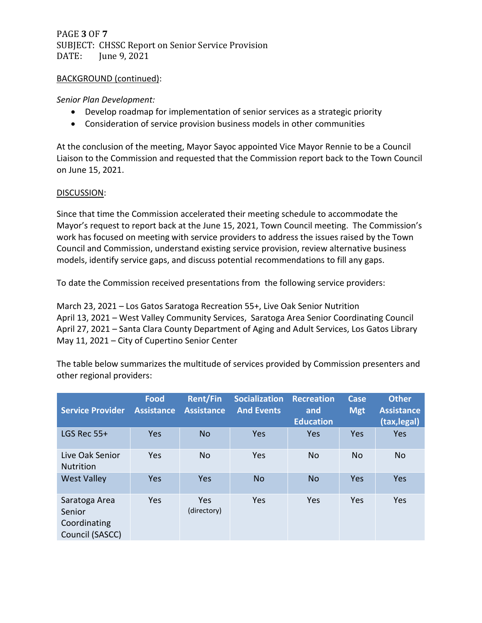PAGE **3** OF **7** SUBJECT: CHSSC Report on Senior Service Provision DATE: June 9, 2021

### BACKGROUND (continued):

### *Senior Plan Development:*

- Develop roadmap for implementation of senior services as a strategic priority
- Consideration of service provision business models in other communities

At the conclusion of the meeting, Mayor Sayoc appointed Vice Mayor Rennie to be a Council Liaison to the Commission and requested that the Commission report back to the Town Council on June 15, 2021.

### DISCUSSION:

Since that time the Commission accelerated their meeting schedule to accommodate the Mayor's request to report back at the June 15, 2021, Town Council meeting. The Commission's work has focused on meeting with service providers to address the issues raised by the Town Council and Commission, understand existing service provision, review alternative business models, identify service gaps, and discuss potential recommendations to fill any gaps.

To date the Commission received presentations from the following service providers:

March 23, 2021 – Los Gatos Saratoga Recreation 55+, Live Oak Senior Nutrition April 13, 2021 – West Valley Community Services, Saratoga Area Senior Coordinating Council April 27, 2021 – Santa Clara County Department of Aging and Adult Services, Los Gatos Library May 11, 2021 – City of Cupertino Senior Center

The table below summarizes the multitude of services provided by Commission presenters and other regional providers:

| <b>Service Provider</b>                                    | <b>Food</b><br><b>Assistance</b> | <b>Rent/Fin</b><br><b>Assistance</b> | <b>Socialization</b><br><b>And Events</b> | <b>Recreation</b><br>and<br><b>Education</b> | <b>Case</b><br><b>Mgt</b> | <b>Other</b><br><b>Assistance</b><br>(tax, legal) |
|------------------------------------------------------------|----------------------------------|--------------------------------------|-------------------------------------------|----------------------------------------------|---------------------------|---------------------------------------------------|
| LGS Rec $55+$                                              | Yes                              | <b>No</b>                            | Yes                                       | Yes                                          | Yes                       | Yes                                               |
| Live Oak Senior<br><b>Nutrition</b>                        | <b>Yes</b>                       | <b>No</b>                            | Yes                                       | <b>No</b>                                    | <b>No</b>                 | <b>No</b>                                         |
| <b>West Valley</b>                                         | <b>Yes</b>                       | Yes                                  | <b>No</b>                                 | <b>No</b>                                    | Yes                       | Yes                                               |
| Saratoga Area<br>Senior<br>Coordinating<br>Council (SASCC) | Yes                              | Yes<br>(directory)                   | Yes                                       | Yes                                          | Yes                       | Yes                                               |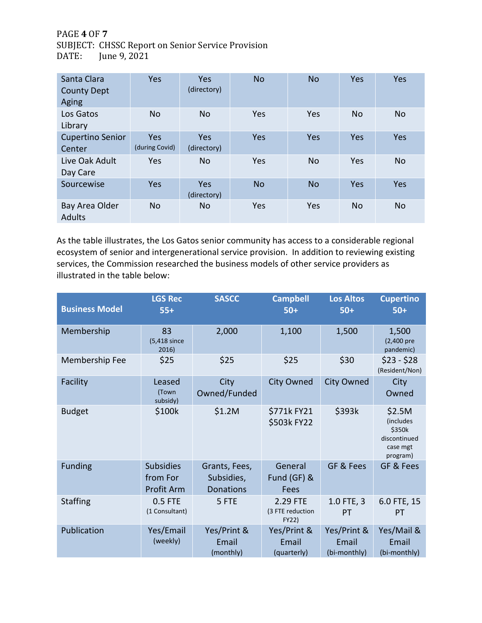PAGE **4** OF **7** SUBJECT: CHSSC Report on Senior Service Provision DATE: June 9, 2021

| Santa Clara<br><b>County Dept</b><br>Aging | <b>Yes</b>            | Yes<br>(directory) | <b>No</b> | <b>No</b> | Yes       | Yes       |
|--------------------------------------------|-----------------------|--------------------|-----------|-----------|-----------|-----------|
| Los Gatos<br>Library                       | <b>No</b>             | <b>No</b>          | Yes       | Yes       | <b>No</b> | <b>No</b> |
| <b>Cupertino Senior</b><br>Center          | Yes<br>(during Covid) | Yes<br>(directory) | Yes       | Yes       | Yes       | Yes       |
| Live Oak Adult<br>Day Care                 | <b>Yes</b>            | <b>No</b>          | Yes       | <b>No</b> | Yes       | <b>No</b> |
| Sourcewise                                 | <b>Yes</b>            | Yes<br>(directory) | <b>No</b> | <b>No</b> | Yes       | Yes       |
| Bay Area Older<br><b>Adults</b>            | <b>No</b>             | No.                | Yes       | Yes       | <b>No</b> | <b>No</b> |

As the table illustrates, the Los Gatos senior community has access to a considerable regional ecosystem of senior and intergenerational service provision. In addition to reviewing existing services, the Commission researched the business models of other service providers as illustrated in the table below:

| <b>Business Model</b> | <b>LGS Rec</b><br>$55+$                    | <b>SASCC</b>                                    | <b>Campbell</b><br>$50+$              | <b>Los Altos</b><br>$50+$            | <b>Cupertino</b><br>$50+$                                                     |
|-----------------------|--------------------------------------------|-------------------------------------------------|---------------------------------------|--------------------------------------|-------------------------------------------------------------------------------|
| Membership            | 83<br>(5,418 since<br>2016)                | 2,000                                           | 1,100                                 | 1,500                                | 1,500<br>(2,400 pre<br>pandemic)                                              |
| Membership Fee        | \$25                                       | \$25                                            | \$25                                  | \$30                                 | $$23 - $28$<br>(Resident/Non)                                                 |
| Facility              | Leased<br>(Town<br>subsidy)                | City<br>Owned/Funded                            | <b>City Owned</b>                     | <b>City Owned</b>                    | City<br>Owned                                                                 |
| <b>Budget</b>         | \$100k                                     | \$1.2M                                          | \$771kFY21<br>\$503k FY22             | \$393k                               | \$2.5M<br><i>(includes)</i><br>\$350k<br>discontinued<br>case mgt<br>program) |
| <b>Funding</b>        | <b>Subsidies</b><br>from For<br>Profit Arm | Grants, Fees,<br>Subsidies,<br><b>Donations</b> | General<br>Fund (GF) &<br>Fees        | GF & Fees                            | GF & Fees                                                                     |
| <b>Staffing</b>       | 0.5 FTE<br>(1 Consultant)                  | 5 FTE                                           | 2.29 FTE<br>(3 FTE reduction<br>FY22) | 1.0 FTE, 3<br>PT                     | 6.0 FTE, 15<br><b>PT</b>                                                      |
| Publication           | Yes/Email<br>(weekly)                      | Yes/Print &<br>Email<br>(monthly)               | Yes/Print &<br>Email<br>(quarterly)   | Yes/Print &<br>Email<br>(bi-monthly) | Yes/Mail &<br>Email<br>(bi-monthly)                                           |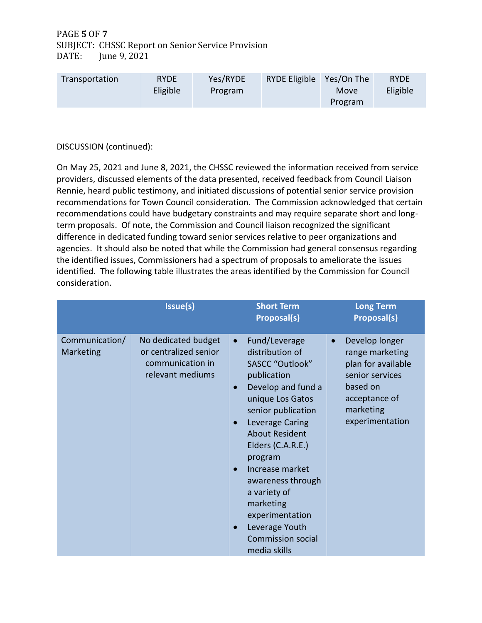PAGE **5** OF **7** SUBJECT: CHSSC Report on Senior Service Provision DATE: June 9, 2021

| Transportation | <b>RYDE</b> | Yes/RYDE | <b>RYDE Eligible</b> | Yes/On The | <b>RYDE</b> |
|----------------|-------------|----------|----------------------|------------|-------------|
|                | Eligible    | Program  |                      | Move       | Eligible    |
|                |             |          |                      | Program    |             |

# DISCUSSION (continued):

On May 25, 2021 and June 8, 2021, the CHSSC reviewed the information received from service providers, discussed elements of the data presented, received feedback from Council Liaison Rennie, heard public testimony, and initiated discussions of potential senior service provision recommendations for Town Council consideration. The Commission acknowledged that certain recommendations could have budgetary constraints and may require separate short and longterm proposals. Of note, the Commission and Council liaison recognized the significant difference in dedicated funding toward senior services relative to peer organizations and agencies. It should also be noted that while the Commission had general consensus regarding the identified issues, Commissioners had a spectrum of proposals to ameliorate the issues identified. The following table illustrates the areas identified by the Commission for Council consideration.

|                             | Issue(s)                                                                             | <b>Short Term</b><br>Proposal(s)                                                                                                                                                                                                                                                                                                                                                               | <b>Long Term</b><br><b>Proposal(s)</b>                                                                                                               |
|-----------------------------|--------------------------------------------------------------------------------------|------------------------------------------------------------------------------------------------------------------------------------------------------------------------------------------------------------------------------------------------------------------------------------------------------------------------------------------------------------------------------------------------|------------------------------------------------------------------------------------------------------------------------------------------------------|
| Communication/<br>Marketing | No dedicated budget<br>or centralized senior<br>communication in<br>relevant mediums | Fund/Leverage<br>$\bullet$<br>distribution of<br>SASCC "Outlook"<br>publication<br>Develop and fund a<br>$\bullet$<br>unique Los Gatos<br>senior publication<br>Leverage Caring<br><b>About Resident</b><br>Elders (C.A.R.E.)<br>program<br>Increase market<br>awareness through<br>a variety of<br>marketing<br>experimentation<br>Leverage Youth<br><b>Commission social</b><br>media skills | Develop longer<br>$\bullet$<br>range marketing<br>plan for available<br>senior services<br>based on<br>acceptance of<br>marketing<br>experimentation |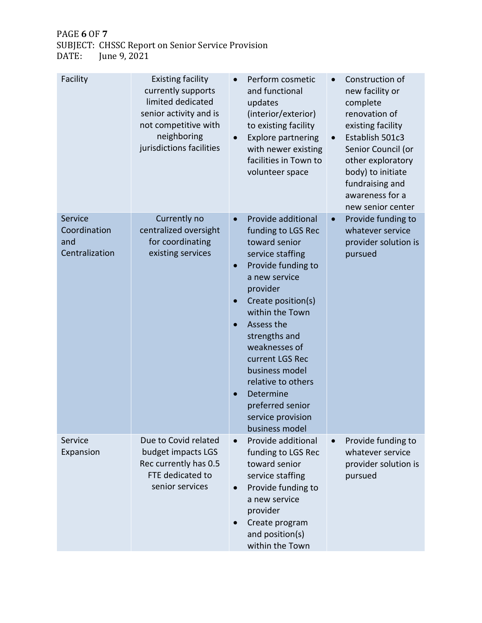PAGE **6** OF **7**

SUBJECT: CHSSC Report on Senior Service Provision DATE: June 9, 2021

| Facility                                         | <b>Existing facility</b><br>currently supports<br>limited dedicated<br>senior activity and is<br>not competitive with<br>neighboring<br>jurisdictions facilities | Perform cosmetic<br>$\bullet$<br>and functional<br>updates<br>(interior/exterior)<br>to existing facility<br><b>Explore partnering</b><br>$\bullet$<br>with newer existing<br>facilities in Town to<br>volunteer space                                                                                                                                                                                           | Construction of<br>$\bullet$<br>new facility or<br>complete<br>renovation of<br>existing facility<br>Establish 501c3<br>$\bullet$<br>Senior Council (or<br>other exploratory<br>body) to initiate<br>fundraising and<br>awareness for a<br>new senior center |
|--------------------------------------------------|------------------------------------------------------------------------------------------------------------------------------------------------------------------|------------------------------------------------------------------------------------------------------------------------------------------------------------------------------------------------------------------------------------------------------------------------------------------------------------------------------------------------------------------------------------------------------------------|--------------------------------------------------------------------------------------------------------------------------------------------------------------------------------------------------------------------------------------------------------------|
| Service<br>Coordination<br>and<br>Centralization | Currently no<br>centralized oversight<br>for coordinating<br>existing services                                                                                   | Provide additional<br>$\bullet$<br>funding to LGS Rec<br>toward senior<br>service staffing<br>Provide funding to<br>$\bullet$<br>a new service<br>provider<br>Create position(s)<br>$\bullet$<br>within the Town<br>Assess the<br>$\bullet$<br>strengths and<br>weaknesses of<br>current LGS Rec<br>business model<br>relative to others<br>Determine<br>preferred senior<br>service provision<br>business model | Provide funding to<br>$\bullet$<br>whatever service<br>provider solution is<br>pursued                                                                                                                                                                       |
| Service<br>Expansion                             | Due to Covid related<br>budget impacts LGS<br>Rec currently has 0.5<br>FTE dedicated to<br>senior services                                                       | Provide additional<br>$\bullet$<br>funding to LGS Rec<br>toward senior<br>service staffing<br>Provide funding to<br>$\bullet$<br>a new service<br>provider<br>Create program<br>and position(s)<br>within the Town                                                                                                                                                                                               | Provide funding to<br>whatever service<br>provider solution is<br>pursued                                                                                                                                                                                    |